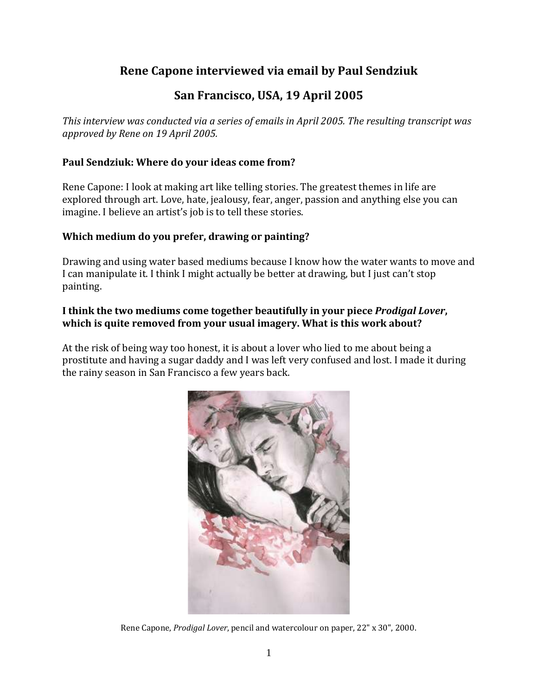# **Rene Capone interviewed via email by Paul Sendziuk**

# **San Francisco, USA, 19 April 2005**

*This interview was conducted via a series of emails in April 2005. The resulting transcript was approved by Rene on 19 April 2005.*

## **Paul Sendziuk: Where do your ideas come from?**

Rene Capone: I look at making art like telling stories. The greatest themes in life are explored through art. Love, hate, jealousy, fear, anger, passion and anything else you can imagine. I believe an artist's job is to tell these stories.

#### **Which medium do you prefer, drawing or painting?**

Drawing and using water based mediums because I know how the water wants to move and I can manipulate it. I think I might actually be better at drawing, but I just can't stop painting.

### **I think the two mediums come together beautifully in your piece** *Prodigal Lover***, which is quite removed from your usual imagery. What is this work about?**

At the risk of being way too honest, it is about a lover who lied to me about being a prostitute and having a sugar daddy and I was left very confused and lost. I made it during the rainy season in San Francisco a few years back.



Rene Capone, *Prodigal Lover*, pencil and watercolour on paper, 22" x 30", 2000.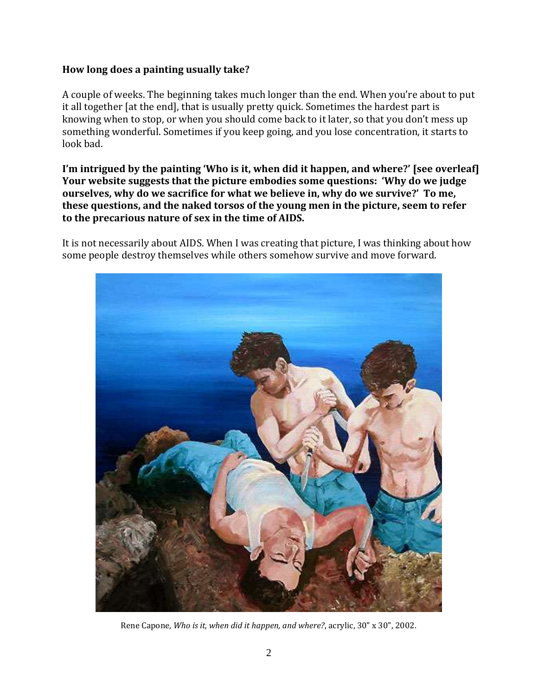#### **How long does a painting usually take?**

A couple of weeks. The beginning takes much longer than the end. When you're about to put it all together [at the end], that is usually pretty quick. Sometimes the hardest part is knowing when to stop, or when you should come back to it later, so that you don't mess up something wonderful. Sometimes if you keep going, and you lose concentration, it starts to look bad.

**I'm intrigued by the painting 'Who is it, when did it happen, and where?' [see overleaf] Your website suggests that the picture embodies some questions: 'Why do we judge ourselves, why do we sacrifice for what we believe in, why do we survive?' To me, these questions, and the naked torsos of the young men in the picture, seem to refer to the precarious nature of sex in the time of AIDS.**

It is not necessarily about AIDS. When I was creating that picture, I was thinking about how some people destroy themselves while others somehow survive and move forward.



Rene Capone, *Who is it, when did it happen, and where?*, acrylic, 30" x 30", 2002.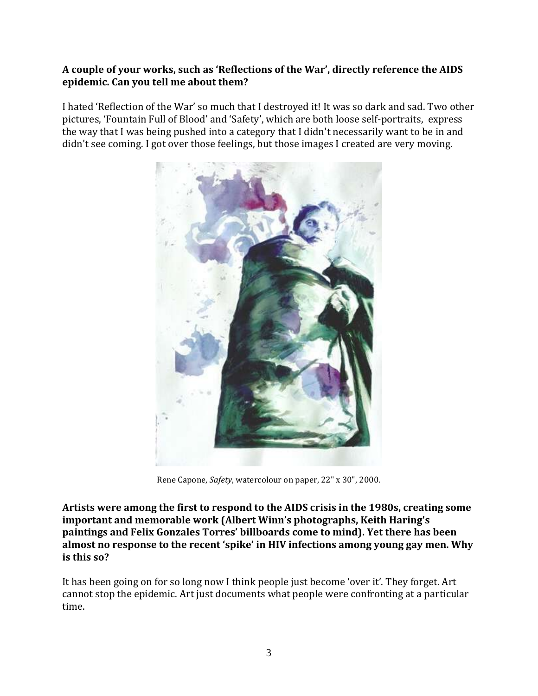## **A couple of your works, such as 'Reflections of the War', directly reference the AIDS epidemic. Can you tell me about them?**

I hated 'Reflection of the War' so much that I destroyed it! It was so dark and sad. Two other pictures, 'Fountain Full of Blood' and 'Safety', which are both loose self-portraits, express the way that I was being pushed into a category that I didn't necessarily want to be in and didn't see coming. I got over those feelings, but those images I created are very moving.



Rene Capone, *Safety*, watercolour on paper, 22" x 30", 2000.

**Artists were among the first to respond to the AIDS crisis in the 1980s, creating some important and memorable work (Albert Winn's photographs, Keith Haring's paintings and Felix Gonzales Torres' billboards come to mind). Yet there has been almost no response to the recent 'spike' in HIV infections among young gay men. Why is this so?**

It has been going on for so long now I think people just become 'over it'. They forget. Art cannot stop the epidemic. Art just documents what people were confronting at a particular time.